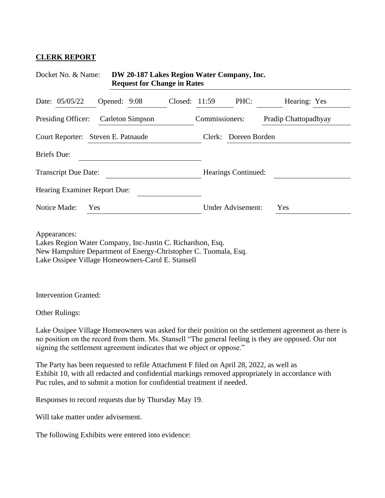## **CLERK REPORT**

|                              |                                    | Opened: 9:08 |                     | Closed: 11:59        | PHC:                     | Hearing: Yes         |
|------------------------------|------------------------------------|--------------|---------------------|----------------------|--------------------------|----------------------|
| Presiding Officer:           | Carleton Simpson                   |              |                     | Commissioners:       |                          | Pradip Chattopadhyay |
|                              | Court Reporter: Steven E. Patnaude |              |                     | Clerk: Doreen Borden |                          |                      |
| <b>Briefs</b> Due:           |                                    |              |                     |                      |                          |                      |
| <b>Transcript Due Date:</b>  |                                    |              | Hearings Continued: |                      |                          |                      |
| Hearing Examiner Report Due: |                                    |              |                     |                      |                          |                      |
| Notice Made:                 | <b>Yes</b>                         |              |                     |                      | <b>Under Advisement:</b> | Yes                  |

Intervention Granted:

Other Rulings:

Lake Ossipee Village Homeowners was asked for their position on the settlement agreement as there is no position on the record from them. Ms. Stansell "The general feeling is they are opposed. Our not signing the settlement agreement indicates that we object or oppose."

The Party has been requested to refile Attachment F filed on April 28, 2022, as well as Exhibit 10, with all redacted and confidential markings removed appropriately in accordance with Puc rules, and to submit a motion for confidential treatment if needed.

Responses to record requests due by Thursday May 19.

Will take matter under advisement.

The following Exhibits were entered into evidence: